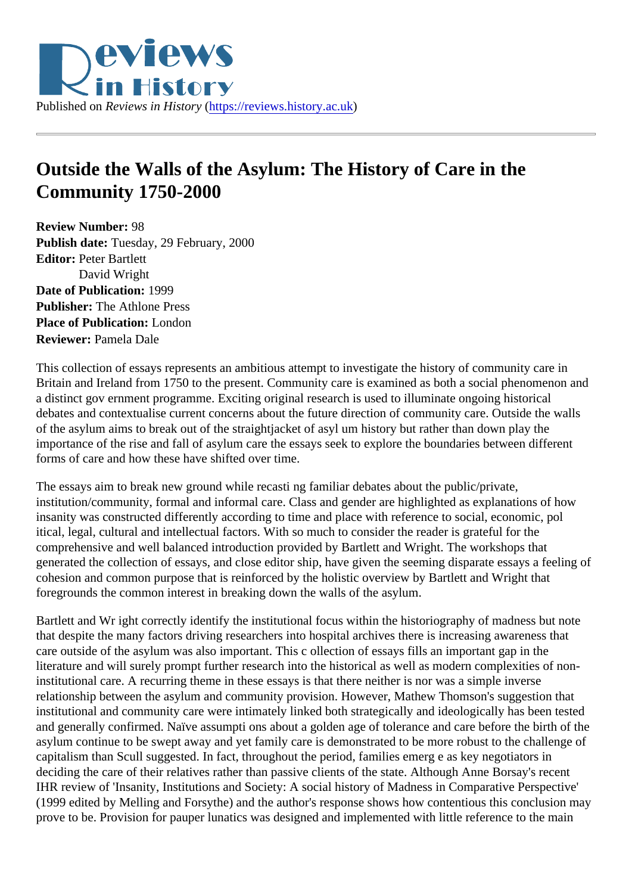## Outside the Walls of the Asylum: The History of Care in the Community 1750-2000

Review Number: 98 Publish date: Tuesday, 29 February, 2000 Editor: Peter Bartlett David Wright Date of Publication: 1999 Publisher: The Athlone Press Place of Publication: London Reviewer: Pamela Dale

This collection of essays represents an ambitious attempt to investigate the history of community care in Britain and Ireland from 1750 to the present. Community care is examined as both a social phenomenon a a distinct gov ernment programme. Exciting original research is used to illuminate ongoing historical debates and contextualise current concerns about the future direction of community care. Outside the wall of the asylum aims to break out of the straightjacket of asyl um history but rather than down play the importance of the rise and fall of asylum care the essays seek to explore the boundaries between different forms of care and how these have shifted over time.

The essays aim to break new ground while recasti ng familiar debates about the public/private, institution/community, formal and informal care. Class and gender are highlighted as explanations of how insanity was constructed differently according to time and place with reference to social, economic, pol itical, legal, cultural and intellectual factors. With so much to consider the reader is grateful for the comprehensive and well balanced introduction provided by Bartlett and Wright. The workshops that generated the collection of essays, and close editor ship, have given the seeming disparate essays a feeli cohesion and common purpose that is reinforced by the holistic overview by Bartlett and Wright that foregrounds the common interest in breaking down the walls of the asylum.

Bartlett and Wr ight correctly identify the institutional focus within the historiography of madness but note that despite the many factors driving researchers into hospital archives there is increasing awareness that care outside of the asylum was also important. This c ollection of essays fills an important gap in the literature and will surely prompt further research into the historical as well as modern complexities of noninstitutional care. A recurring theme in these essays is that there neither is nor was a simple inverse relationship between the asylum and community provision. However, Mathew Thomson's suggestion that institutional and community care were intimately linked both strategically and ideologically has been tested and generally confirmed. Naïve assumpti ons about a golden age of tolerance and care before the birth of asylum continue to be swept away and yet family care is demonstrated to be more robust to the challenge capitalism than Scull suggested. In fact, throughout the period, families emerg e as key negotiators in deciding the care of their relatives rather than passive clients of the state. Although Anne Borsay's recent IHR review of 'Insanity, Institutions and Society: A social history of Madness in Comparative Perspective' (1999 edited by Melling and Forsythe) and the author's response shows how contentious this conclusion r prove to be. Provision for pauper lunatics was designed and implemented with little reference to the main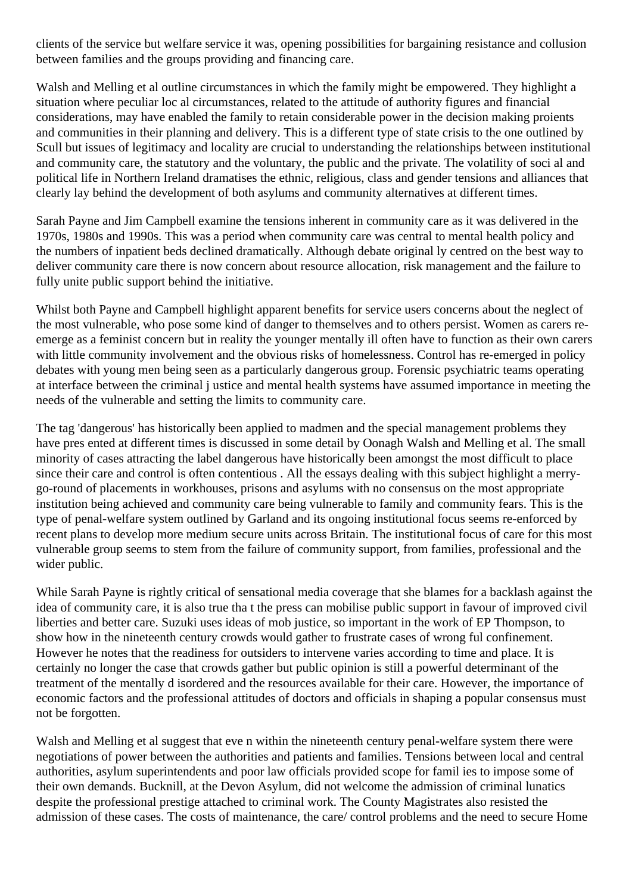clients of the service but welfare service it was, opening possibilities for bargaining resistance and collusion between families and the groups providing and financing care.

Walsh and Melling et al outline circumstances in which the family might be empowered. They highlight a situation where peculiar loc al circumstances, related to the attitude of authority figures and financial considerations, may have enabled the family to retain considerable power in the decision making proients and communities in their planning and delivery. This is a different type of state crisis to the one outlined by Scull but issues of legitimacy and locality are crucial to understanding the relationships between institutional and community care, the statutory and the voluntary, the public and the private. The volatility of soci al and political life in Northern Ireland dramatises the ethnic, religious, class and gender tensions and alliances that clearly lay behind the development of both asylums and community alternatives at different times.

Sarah Payne and Jim Campbell examine the tensions inherent in community care as it was delivered in the 1970s, 1980s and 1990s. This was a period when community care was central to mental health policy and the numbers of inpatient beds declined dramatically. Although debate original ly centred on the best way to deliver community care there is now concern about resource allocation, risk management and the failure to fully unite public support behind the initiative.

Whilst both Payne and Campbell highlight apparent benefits for service users concerns about the neglect of the most vulnerable, who pose some kind of danger to themselves and to others persist. Women as carers reemerge as a feminist concern but in reality the younger mentally ill often have to function as their own carers with little community involvement and the obvious risks of homelessness. Control has re-emerged in policy debates with young men being seen as a particularly dangerous group. Forensic psychiatric teams operating at interface between the criminal j ustice and mental health systems have assumed importance in meeting the needs of the vulnerable and setting the limits to community care.

The tag 'dangerous' has historically been applied to madmen and the special management problems they have pres ented at different times is discussed in some detail by Oonagh Walsh and Melling et al. The small minority of cases attracting the label dangerous have historically been amongst the most difficult to place since their care and control is often contentious . All the essays dealing with this subject highlight a merrygo-round of placements in workhouses, prisons and asylums with no consensus on the most appropriate institution being achieved and community care being vulnerable to family and community fears. This is the type of penal-welfare system outlined by Garland and its ongoing institutional focus seems re-enforced by recent plans to develop more medium secure units across Britain. The institutional focus of care for this most vulnerable group seems to stem from the failure of community support, from families, professional and the wider public.

While Sarah Payne is rightly critical of sensational media coverage that she blames for a backlash against the idea of community care, it is also true tha t the press can mobilise public support in favour of improved civil liberties and better care. Suzuki uses ideas of mob justice, so important in the work of EP Thompson, to show how in the nineteenth century crowds would gather to frustrate cases of wrong ful confinement. However he notes that the readiness for outsiders to intervene varies according to time and place. It is certainly no longer the case that crowds gather but public opinion is still a powerful determinant of the treatment of the mentally d isordered and the resources available for their care. However, the importance of economic factors and the professional attitudes of doctors and officials in shaping a popular consensus must not be forgotten.

Walsh and Melling et al suggest that eve n within the nineteenth century penal-welfare system there were negotiations of power between the authorities and patients and families. Tensions between local and central authorities, asylum superintendents and poor law officials provided scope for famil ies to impose some of their own demands. Bucknill, at the Devon Asylum, did not welcome the admission of criminal lunatics despite the professional prestige attached to criminal work. The County Magistrates also resisted the admission of these cases. The costs of maintenance, the care/ control problems and the need to secure Home